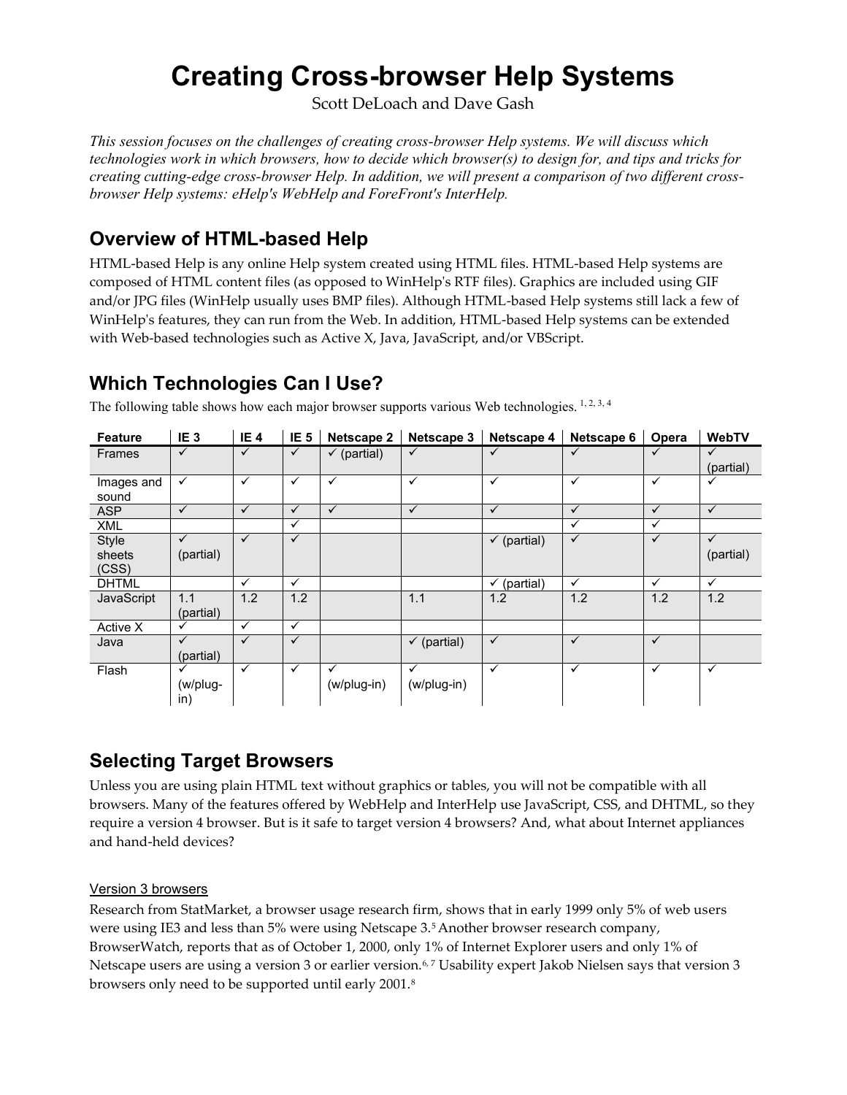# **Creating Cross-browser Help Systems**

Scott DeLoach and Dave Gash

*This session focuses on the challenges of creating cross-browser Help systems. We will discuss which technologies work in which browsers, how to decide which browser(s) to design for, and tips and tricks for creating cutting-edge cross-browser Help. In addition, we will present a comparison of two different crossbrowser Help systems: eHelp's WebHelp and ForeFront's InterHelp.*

# **Overview of HTML-based Help**

HTML-based Help is any online Help system created using HTML files. HTML-based Help systems are composed of HTML content files (as opposed to WinHelp's RTF files). Graphics are included using GIF and/or JPG files (WinHelp usually uses BMP files). Although HTML-based Help systems still lack a few of WinHelp's features, they can run from the Web. In addition, HTML-based Help systems can be extended with Web-based technologies such as Active X, Java, JavaScript, and/or VBScript.

# **Which Technologies Can I Use?**

| <b>Feature</b>           | IE <sub>3</sub>           | IE <sub>4</sub> | IE <sub>5</sub> | Netscape 2                  | Netscape 3                  | Netscape 4             | Netscape 6   | Opera        | <b>WebTV</b>              |
|--------------------------|---------------------------|-----------------|-----------------|-----------------------------|-----------------------------|------------------------|--------------|--------------|---------------------------|
| <b>Frames</b>            | $\checkmark$              | $\checkmark$    | ✓               | $\checkmark$ (partial)      | $\checkmark$                | ✓                      | $\checkmark$ | ✓            | $\checkmark$<br>(partial) |
| Images and<br>sound      | ✓                         | $\checkmark$    | $\checkmark$    | $\checkmark$                | $\checkmark$                | $\checkmark$           | $\checkmark$ | $\checkmark$ |                           |
| <b>ASP</b>               | $\checkmark$              | $\checkmark$    | $\checkmark$    | $\checkmark$                | $\checkmark$                | $\checkmark$           | $\checkmark$ | $\checkmark$ | $\checkmark$              |
| <b>XML</b>               |                           |                 | ✓               |                             |                             |                        | ✓            | ✓            |                           |
| Style<br>sheets<br>(CSS) | $\checkmark$<br>(partial) | ✓               | ✓               |                             |                             | $\checkmark$ (partial) | $\checkmark$ | ✓            | ✓<br>(partial)            |
| <b>DHTML</b>             |                           | $\checkmark$    | $\checkmark$    |                             |                             | $\checkmark$ (partial) | $\checkmark$ | $\checkmark$ | $\checkmark$              |
| JavaScript               | 1.1<br>(partial)          | 1.2             | 1.2             |                             | 1.1                         | 1.2                    | 1.2          | 1.2          | 1.2                       |
| Active X                 | ✓                         | $\checkmark$    | ✓               |                             |                             |                        |              |              |                           |
| Java                     | ✓<br>(partial)            | $\checkmark$    | ✓               |                             | $\checkmark$ (partial)      | $\checkmark$           | $\checkmark$ | $\checkmark$ |                           |
| Flash                    | (w/plug-<br>in)           | $\checkmark$    | ✓               | $\checkmark$<br>(w/plug-in) | $\checkmark$<br>(w/plug-in) | $\checkmark$           | ✓            | $\checkmark$ | ✓                         |

The following table shows how each major browser supports various Web technologies. <sup>1, 2, 3, 4</sup>

## **Selecting Target Browsers**

Unless you are using plain HTML text without graphics or tables, you will not be compatible with all browsers. Many of the features offered by WebHelp and InterHelp use JavaScript, CSS, and DHTML, so they require a version 4 browser. But is it safe to target version 4 browsers? And, what about Internet appliances and hand-held devices?

### Version 3 browsers

Research from StatMarket, a browser usage research firm, shows that in early 1999 only 5% of web users were using IE3 and less than 5% were using Netscape 3.5 Another browser research company, BrowserWatch, reports that as of October 1, 2000, only 1% of Internet Explorer users and only 1% of Netscape users are using a version 3 or earlier version.<sup>6,7</sup> Usability expert Jakob Nielsen says that version 3 browsers only need to be supported until early 2001.8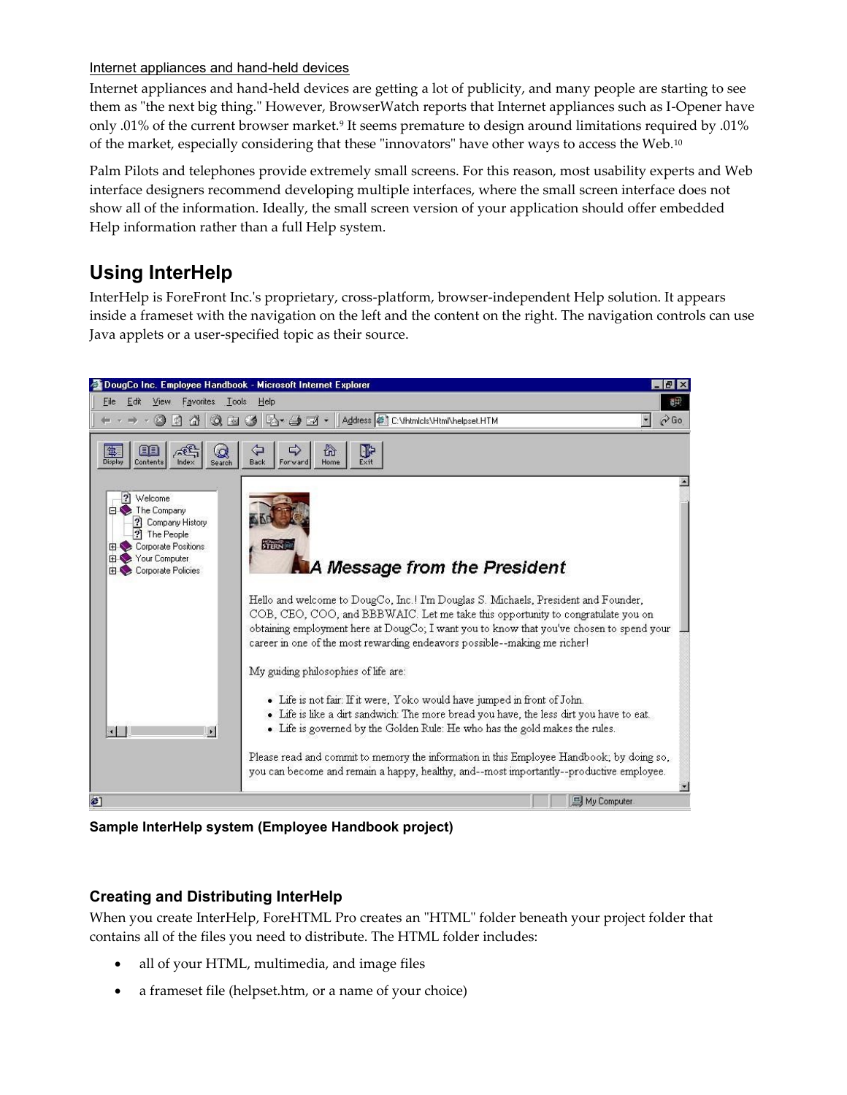### Internet appliances and hand-held devices

Internet appliances and hand-held devices are getting a lot of publicity, and many people are starting to see them as "the next big thing." However, BrowserWatch reports that Internet appliances such as I-Opener have only .01% of the current browser market.<sup>9</sup> It seems premature to design around limitations required by .01% of the market, especially considering that these "innovators" have other ways to access the Web.<sup>10</sup>

Palm Pilots and telephones provide extremely small screens. For this reason, most usability experts and Web interface designers recommend developing multiple interfaces, where the small screen interface does not show all of the information. Ideally, the small screen version of your application should offer embedded Help information rather than a full Help system.

# **Using InterHelp**

InterHelp is ForeFront Inc.'s proprietary, cross-platform, browser-independent Help solution. It appears inside a frameset with the navigation on the left and the content on the right. The navigation controls can use Java applets or a user-specified topic as their source.



**Sample InterHelp system (Employee Handbook project)**

### **Creating and Distributing InterHelp**

When you create InterHelp, ForeHTML Pro creates an "HTML" folder beneath your project folder that contains all of the files you need to distribute. The HTML folder includes:

- all of your HTML, multimedia, and image files
- a frameset file (helpset.htm, or a name of your choice)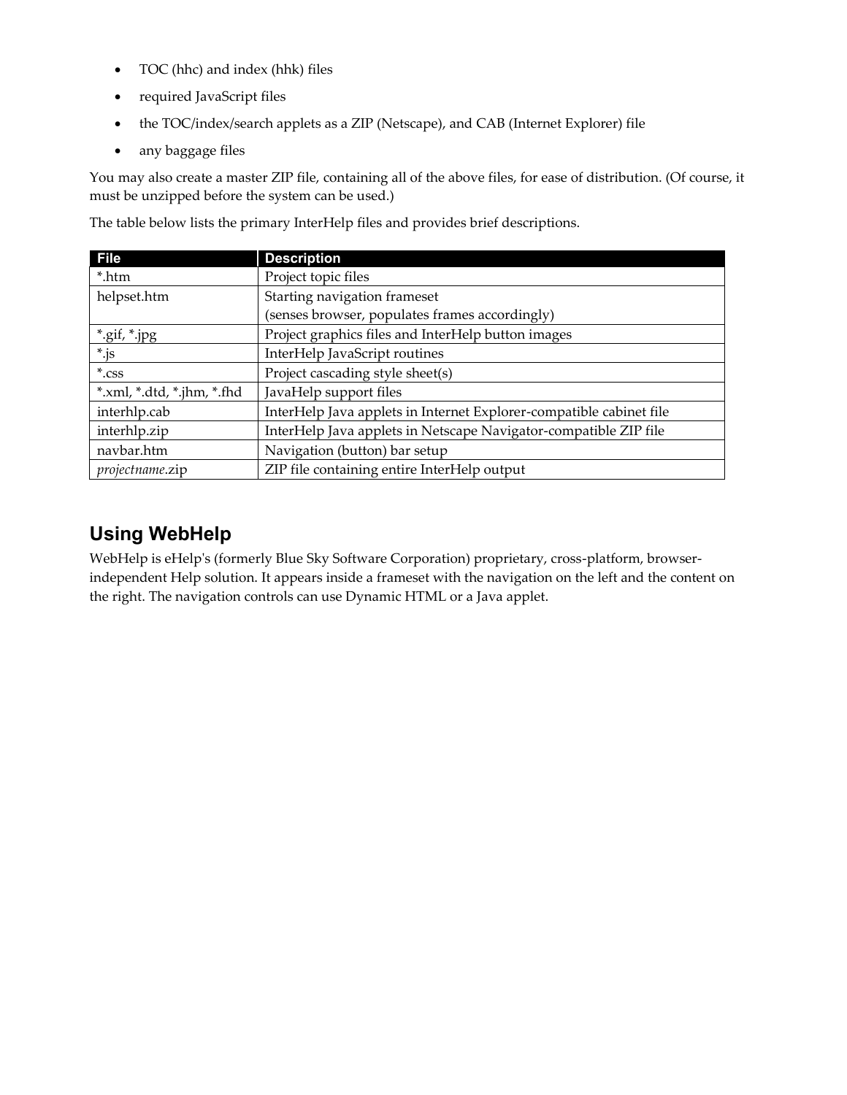- TOC (hhc) and index (hhk) files
- required JavaScript files
- the TOC/index/search applets as a ZIP (Netscape), and CAB (Internet Explorer) file
- any baggage files

You may also create a master ZIP file, containing all of the above files, for ease of distribution. (Of course, it must be unzipped before the system can be used.)

The table below lists the primary InterHelp files and provides brief descriptions.

| <b>File</b>               | <b>Description</b>                                                  |
|---------------------------|---------------------------------------------------------------------|
| *.htm                     | Project topic files                                                 |
| helpset.htm               | Starting navigation frameset                                        |
|                           | (senses browser, populates frames accordingly)                      |
| *.gif, *.jpg              | Project graphics files and InterHelp button images                  |
| $^*$ .js                  | InterHelp JavaScript routines                                       |
| $*.$ css                  | Project cascading style sheet(s)                                    |
| $*.xml,*.dtd,*.jhm,*.fhd$ | JavaHelp support files                                              |
| interhlp.cab              | InterHelp Java applets in Internet Explorer-compatible cabinet file |
| interhlp.zip              | InterHelp Java applets in Netscape Navigator-compatible ZIP file    |
| navbar.htm                | Navigation (button) bar setup                                       |
| projectname.zip           | ZIP file containing entire InterHelp output                         |

## **Using WebHelp**

WebHelp is eHelp's (formerly Blue Sky Software Corporation) proprietary, cross-platform, browserindependent Help solution. It appears inside a frameset with the navigation on the left and the content on the right. The navigation controls can use Dynamic HTML or a Java applet.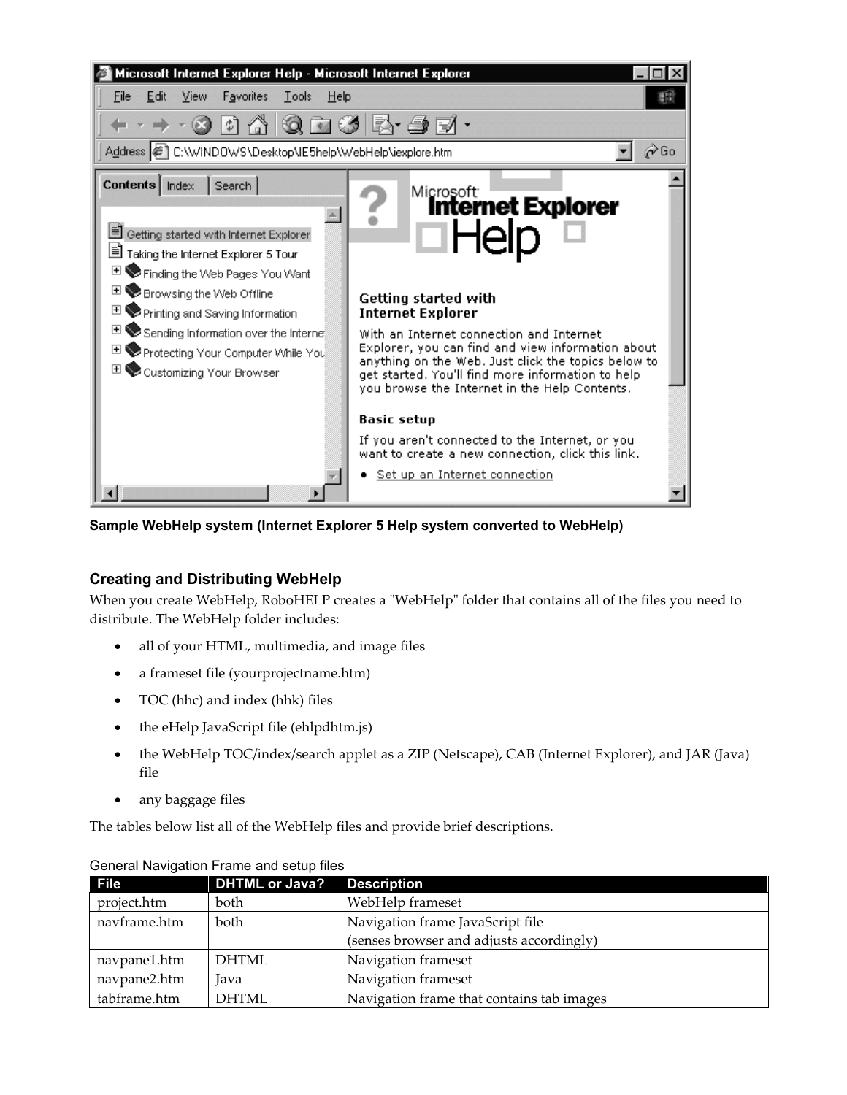

**Sample WebHelp system (Internet Explorer 5 Help system converted to WebHelp)**

### **Creating and Distributing WebHelp**

When you create WebHelp, RoboHELP creates a "WebHelp" folder that contains all of the files you need to distribute. The WebHelp folder includes:

- all of your HTML, multimedia, and image files
- a frameset file (yourprojectname.htm)
- TOC (hhc) and index (hhk) files
- the eHelp JavaScript file (ehlpdhtm.js)
- the WebHelp TOC/index/search applet as a ZIP (Netscape), CAB (Internet Explorer), and JAR (Java) file
- any baggage files

The tables below list all of the WebHelp files and provide brief descriptions.

| <b>File</b>  | <b>DHTML or Java?</b> | <b>Description</b>                        |
|--------------|-----------------------|-------------------------------------------|
| project.htm  | both                  | WebHelp frameset                          |
| navframe.htm | both                  | Navigation frame JavaScript file          |
|              |                       | (senses browser and adjusts accordingly)  |
| navpane1.htm | <b>DHTML</b>          | Navigation frameset                       |
| navpane2.htm | Java                  | Navigation frameset                       |
| tabframe.htm | <b>DHTML</b>          | Navigation frame that contains tab images |

### General Navigation Frame and setup files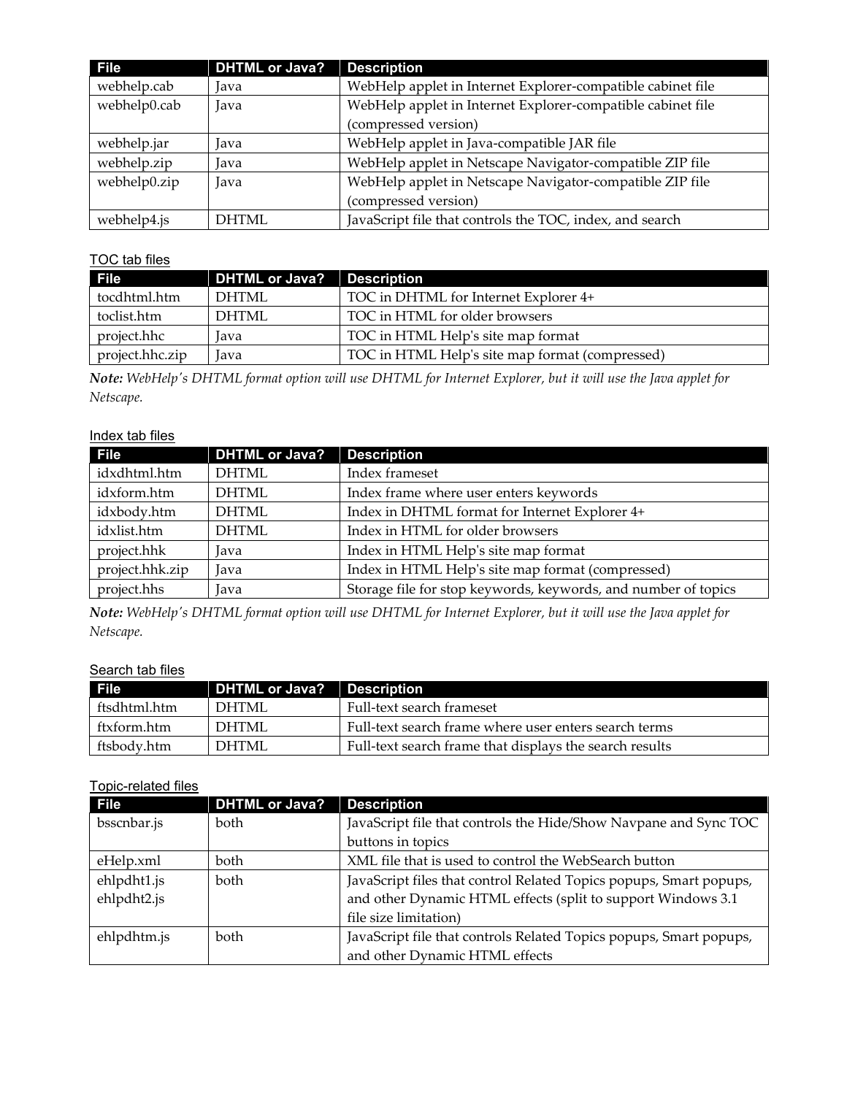| <b>File</b>  | DHTML or Java? | <b>Description</b>                                          |
|--------------|----------------|-------------------------------------------------------------|
| webhelp.cab  | Java           | WebHelp applet in Internet Explorer-compatible cabinet file |
| webhelp0.cab | Java           | WebHelp applet in Internet Explorer-compatible cabinet file |
|              |                | (compressed version)                                        |
| webhelp.jar  | lava           | WebHelp applet in Java-compatible JAR file                  |
| webhelp.zip  | Java           | WebHelp applet in Netscape Navigator-compatible ZIP file    |
| webhelp0.zip | Java           | WebHelp applet in Netscape Navigator-compatible ZIP file    |
|              |                | (compressed version)                                        |
| webhelp4.js  | <b>DHTML</b>   | JavaScript file that controls the TOC, index, and search    |

### TOC tab files

| File            | <b>DHTML or Java?</b> | <b>Description</b>                              |
|-----------------|-----------------------|-------------------------------------------------|
| tocdhtml.htm    | DHTML                 | TOC in DHTML for Internet Explorer 4+           |
| toclist.htm     | <b>DHTML</b>          | TOC in HTML for older browsers                  |
| project.hhc     | lava                  | TOC in HTML Help's site map format              |
| project.hhc.zip | lava                  | TOC in HTML Help's site map format (compressed) |

*Note: WebHelp's DHTML format option will use DHTML for Internet Explorer, but it will use the Java applet for Netscape.*

### Index tab files

| <b>File</b>     | <b>DHTML</b> or Java? | <b>Description</b>                                             |
|-----------------|-----------------------|----------------------------------------------------------------|
| idxdhtml.htm    | <b>DHTML</b>          | Index frameset                                                 |
| idxform.htm     | <b>DHTML</b>          | Index frame where user enters keywords                         |
| idxbody.htm     | <b>DHTML</b>          | Index in DHTML format for Internet Explorer 4+                 |
| idxlist.htm     | <b>DHTML</b>          | Index in HTML for older browsers                               |
| project.hhk     | Java                  | Index in HTML Help's site map format                           |
| project.hhk.zip | Java                  | Index in HTML Help's site map format (compressed)              |
| project.hhs     | Java                  | Storage file for stop keywords, keywords, and number of topics |

*Note: WebHelp's DHTML format option will use DHTML for Internet Explorer, but it will use the Java applet for Netscape.*

### Search tab files

| File         | DHTML or Java? Description |                                                         |
|--------------|----------------------------|---------------------------------------------------------|
| ftsdhtml.htm | DHTML                      | Full-text search frameset                               |
| ftxform.htm  | DHTML                      | Full-text search frame where user enters search terms   |
| ftsbodv.htm  | DHTML                      | Full-text search frame that displays the search results |

### Topic-related files

| File        | <b>DHTML or Java?</b> | <b>Description</b>                                                 |
|-------------|-----------------------|--------------------------------------------------------------------|
| bsscnbar.js | <b>both</b>           | JavaScript file that controls the Hide/Show Navpane and Sync TOC   |
|             |                       | buttons in topics                                                  |
| eHelp.xml   | both                  | XML file that is used to control the WebSearch button              |
| ehlpdht1.js | <b>both</b>           | JavaScript files that control Related Topics popups, Smart popups, |
| ehlpdht2.js |                       | and other Dynamic HTML effects (split to support Windows 3.1       |
|             |                       | file size limitation)                                              |
| ehlpdhtm.js | <b>both</b>           | JavaScript file that controls Related Topics popups, Smart popups, |
|             |                       | and other Dynamic HTML effects                                     |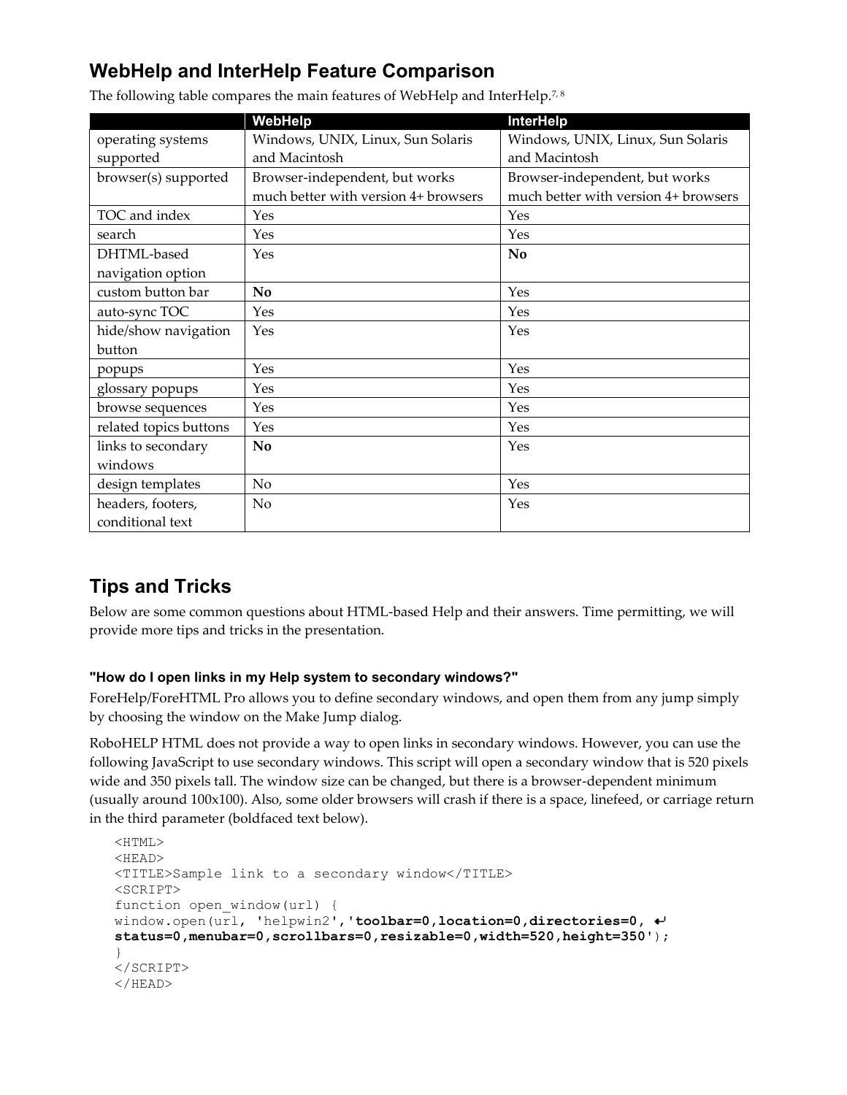# **WebHelp and InterHelp Feature Comparison**

|                        | WebHelp                              | <b>InterHelp</b>                     |
|------------------------|--------------------------------------|--------------------------------------|
| operating systems      | Windows, UNIX, Linux, Sun Solaris    | Windows, UNIX, Linux, Sun Solaris    |
| supported              | and Macintosh                        | and Macintosh                        |
| browser(s) supported   | Browser-independent, but works       | Browser-independent, but works       |
|                        | much better with version 4+ browsers | much better with version 4+ browsers |
| TOC and index          | Yes                                  | Yes                                  |
| search                 | Yes                                  | Yes                                  |
| DHTML-based            | Yes                                  | No                                   |
| navigation option      |                                      |                                      |
| custom button bar      | N <sub>o</sub>                       | Yes                                  |
| auto-sync TOC          | Yes                                  | Yes                                  |
| hide/show navigation   | Yes                                  | Yes                                  |
| button                 |                                      |                                      |
| popups                 | Yes                                  | Yes                                  |
| glossary popups        | Yes                                  | Yes                                  |
| browse sequences       | Yes                                  | Yes                                  |
| related topics buttons | Yes                                  | Yes                                  |
| links to secondary     | <b>No</b>                            | Yes                                  |
| windows                |                                      |                                      |
| design templates       | No                                   | Yes                                  |
| headers, footers,      | No                                   | Yes                                  |
| conditional text       |                                      |                                      |

The following table compares the main features of WebHelp and InterHelp.<sup>7,8</sup>

# **Tips and Tricks**

Below are some common questions about HTML-based Help and their answers. Time permitting, we will provide more tips and tricks in the presentation.

### **"How do I open links in my Help system to secondary windows?"**

ForeHelp/ForeHTML Pro allows you to define secondary windows, and open them from any jump simply by choosing the window on the Make Jump dialog.

RoboHELP HTML does not provide a way to open links in secondary windows. However, you can use the following JavaScript to use secondary windows. This script will open a secondary window that is 520 pixels wide and 350 pixels tall. The window size can be changed, but there is a browser-dependent minimum (usually around 100x100). Also, some older browsers will crash if there is a space, linefeed, or carriage return in the third parameter (boldfaced text below).

```
<HTML>
<HEAD>
<TITLE>Sample link to a secondary window</TITLE>
<SCRIPT>
function open_window(url) {
window.open(url, 'helpwin2','toolbar=0,location=0,directories=0, 
status=0,menubar=0,scrollbars=0,resizable=0,width=520,height=350');
}
</SCRIPT>
</HEAD>
```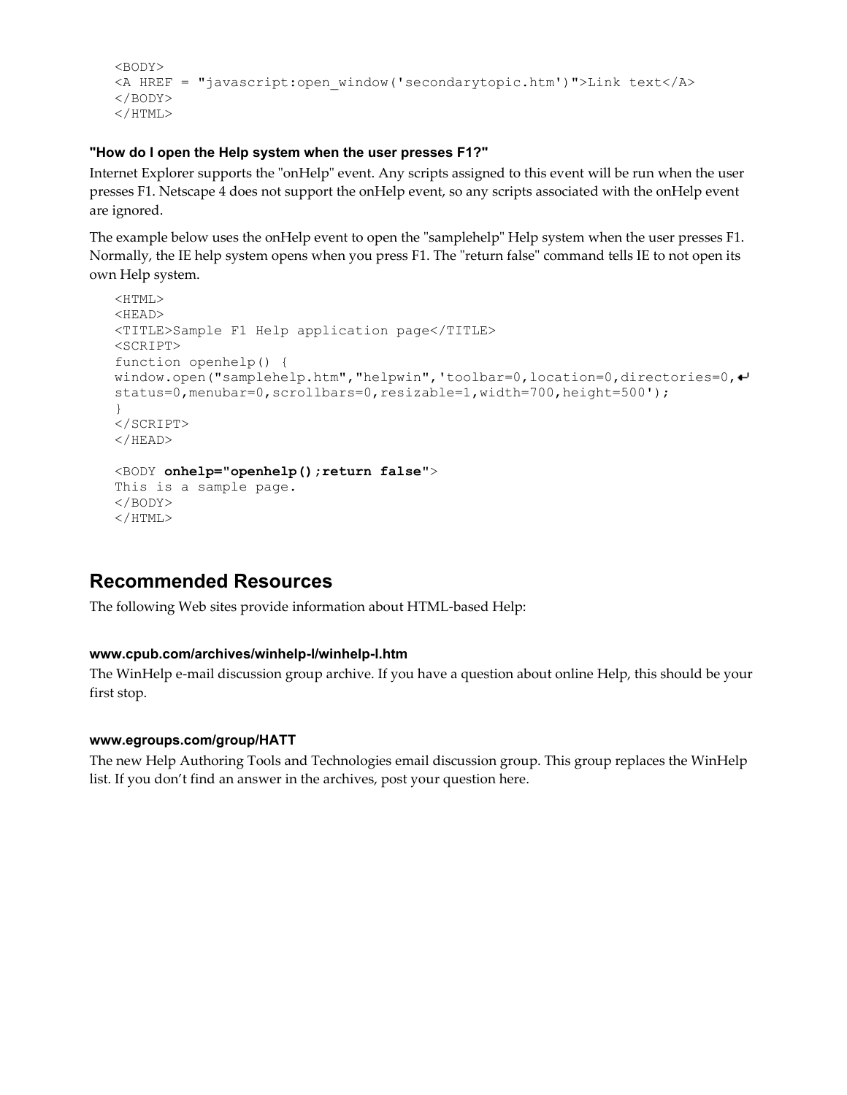```
<BODY>
<A HREF = "javascript:open_window('secondarytopic.htm')">Link text</A>
</BODY>
</HTML>
```
#### **"How do I open the Help system when the user presses F1?"**

Internet Explorer supports the "onHelp" event. Any scripts assigned to this event will be run when the user presses F1. Netscape 4 does not support the onHelp event, so any scripts associated with the onHelp event are ignored.

The example below uses the onHelp event to open the "samplehelp" Help system when the user presses F1. Normally, the IE help system opens when you press F1. The "return false" command tells IE to not open its own Help system.

```
<HTML>
<HEAD>
<TITLE>Sample F1 Help application page</TITLE>
<SCRIPT>
function openhelp() {
window.open("samplehelp.htm","helpwin",'toolbar=0,location=0,directories=0,<sup>↓</sup>
status=0,menubar=0,scrollbars=0,resizable=1,width=700,height=500');
}
</SCRIPT>
</HEAD><BODY onhelp="openhelp();return false">
This is a sample page.
</BODY>
</HTML>
```
### **Recommended Resources**

The following Web sites provide information about HTML-based Help:

### **[www.cpub.com/archives/winhelp-l/winhelp-l.htm](http://www.cpub.com/winhelp-l/winhelp-l.htm)**

The WinHelp e-mail discussion group archive. If you have a question about online Help, this should be your first stop.

#### **www.egroups.com/group/HATT**

The new Help Authoring Tools and Technologies email discussion group. This group replaces the WinHelp list. If you don't find an answer in the archives, post your question here.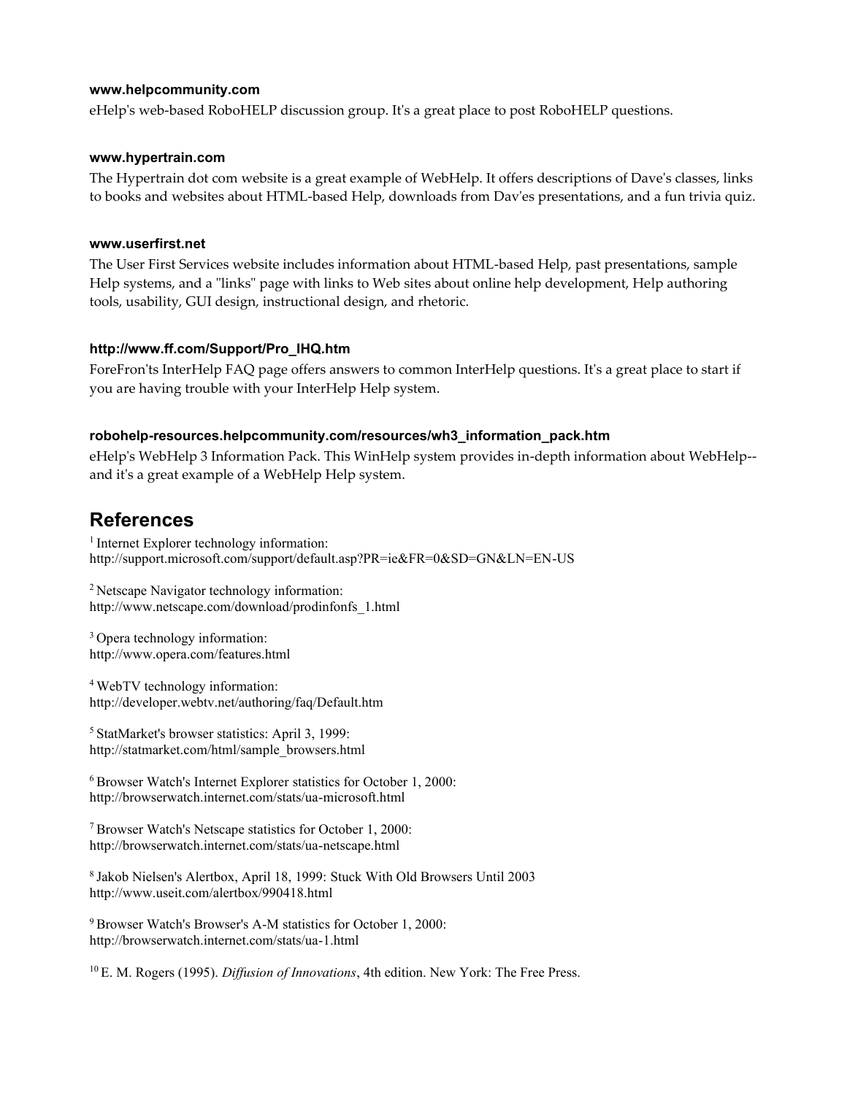#### **www.helpcommunity.com**

eHelp's web-based RoboHELP discussion group. It's a great place to post RoboHELP questions.

#### **www.hypertrain.com**

The Hypertrain dot com website is a great example of WebHelp. It offers descriptions of Dave's classes, links to books and websites about HTML-based Help, downloads from Dav'es presentations, and a fun trivia quiz.

#### **www.userfirst.net**

The User First Services website includes information about HTML-based Help, past presentations, sample Help systems, and a "links" page with links to Web sites about online help development, Help authoring tools, usability, GUI design, instructional design, and rhetoric.

#### **http://www.ff.com/Support/Pro\_IHQ.htm**

ForeFron'ts InterHelp FAQ page offers answers to common InterHelp questions. It's a great place to start if you are having trouble with your InterHelp Help system.

#### **robohelp-resources.helpcommunity.com/resources/wh3\_information\_pack.htm**

eHelp's WebHelp 3 Information Pack. This WinHelp system provides in-depth information about WebHelp- and it's a great example of a WebHelp Help system.

### **References**

<sup>1</sup> Internet Explorer technology information: http://support.microsoft.com/support/default.asp?PR=ie&FR=0&SD=GN&LN=EN-US

<sup>2</sup> Netscape Navigator technology information: http://www.netscape.com/download/prodinfonfs\_1.html

<sup>3</sup>Opera technology information: http://www.opera.com/features.html

<sup>4</sup>WebTV technology information: http://developer.webtv.net/authoring/faq/Default.htm

<sup>5</sup>StatMarket's browser statistics: April 3, 1999: http://statmarket.com/html/sample\_browsers.html

<sup>6</sup>Browser Watch's Internet Explorer statistics for October 1, 2000: http://browserwatch.internet.com/stats/ua-microsoft.html

<sup>7</sup>Browser Watch's Netscape statistics for October 1, 2000: http://browserwatch.internet.com/stats/ua-netscape.html

<sup>8</sup>Jakob Nielsen's Alertbox, April 18, 1999: Stuck With Old Browsers Until 2003 http://www.useit.com/alertbox/990418.html

<sup>9</sup> Browser Watch's Browser's A-M statistics for October 1, 2000: http://browserwatch.internet.com/stats/ua-1.html

10 E. M. Rogers (1995). *Diffusion of Innovations*, 4th edition. New York: The Free Press.